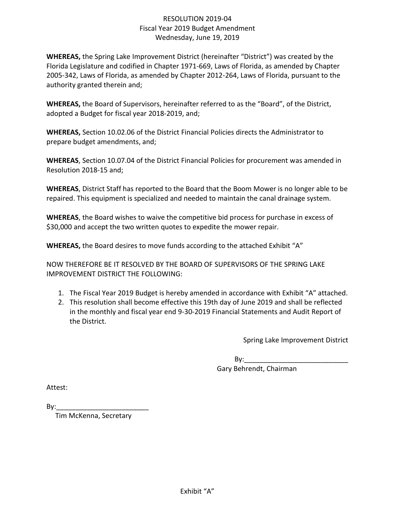## RESOLUTION 2019-04 Fiscal Year 2019 Budget Amendment Wednesday, June 19, 2019

**WHEREAS,** the Spring Lake Improvement District (hereinafter "District") was created by the Florida Legislature and codified in Chapter 1971-669, Laws of Florida, as amended by Chapter 2005-342, Laws of Florida, as amended by Chapter 2012-264, Laws of Florida, pursuant to the authority granted therein and;

**WHEREAS,** the Board of Supervisors, hereinafter referred to as the "Board", of the District, adopted a Budget for fiscal year 2018-2019, and;

**WHEREAS,** Section 10.02.06 of the District Financial Policies directs the Administrator to prepare budget amendments, and;

**WHEREAS**, Section 10.07.04 of the District Financial Policies for procurement was amended in Resolution 2018-15 and;

**WHEREAS**, District Staff has reported to the Board that the Boom Mower is no longer able to be repaired. This equipment is specialized and needed to maintain the canal drainage system.

**WHEREAS**, the Board wishes to waive the competitive bid process for purchase in excess of \$30,000 and accept the two written quotes to expedite the mower repair.

**WHEREAS,** the Board desires to move funds according to the attached Exhibit "A"

NOW THEREFORE BE IT RESOLVED BY THE BOARD OF SUPERVISORS OF THE SPRING LAKE IMPROVEMENT DISTRICT THE FOLLOWING:

- 1. The Fiscal Year 2019 Budget is hereby amended in accordance with Exhibit "A" attached.
- 2. This resolution shall become effective this 19th day of June 2019 and shall be reflected in the monthly and fiscal year end 9-30-2019 Financial Statements and Audit Report of the District.

Spring Lake Improvement District

 $\mathsf{B}\mathsf{v}$ : Gary Behrendt, Chairman

Attest:

By:\_\_\_\_\_\_\_\_\_\_\_\_\_\_\_\_\_\_\_\_\_\_\_\_

Tim McKenna, Secretary